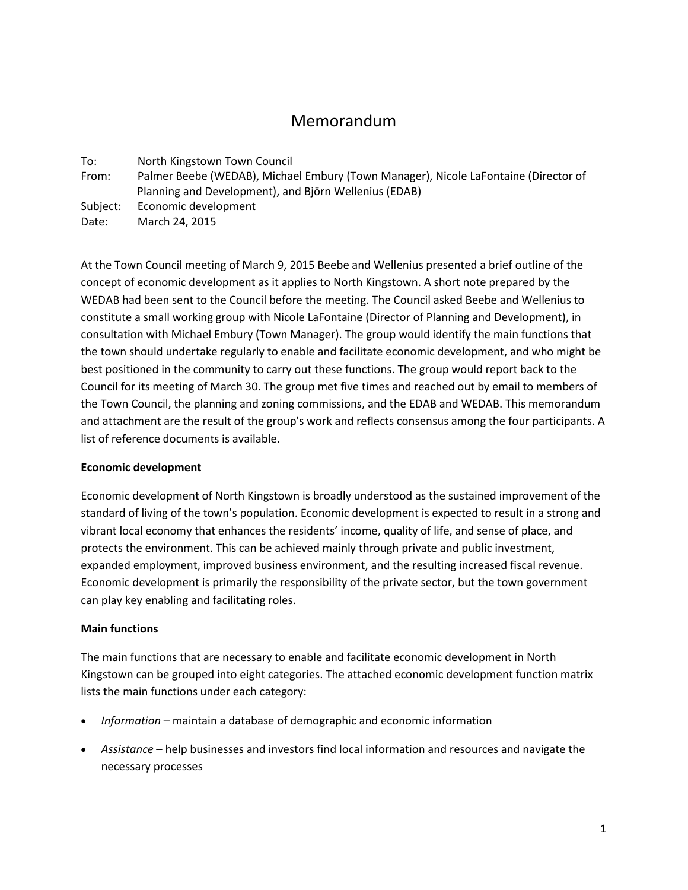# Memorandum

To: North Kingstown Town Council

- From: Palmer Beebe (WEDAB), Michael Embury (Town Manager), Nicole LaFontaine (Director of Planning and Development), and Björn Wellenius (EDAB)
- Subject: Economic development

Date: March 24, 2015

At the Town Council meeting of March 9, 2015 Beebe and Wellenius presented a brief outline of the concept of economic development as it applies to North Kingstown. A short note prepared by the WEDAB had been sent to the Council before the meeting. The Council asked Beebe and Wellenius to constitute a small working group with Nicole LaFontaine (Director of Planning and Development), in consultation with Michael Embury (Town Manager). The group would identify the main functions that the town should undertake regularly to enable and facilitate economic development, and who might be best positioned in the community to carry out these functions. The group would report back to the Council for its meeting of March 30. The group met five times and reached out by email to members of the Town Council, the planning and zoning commissions, and the EDAB and WEDAB. This memorandum and attachment are the result of the group's work and reflects consensus among the four participants. A list of reference documents is available.

## **Economic development**

Economic development of North Kingstown is broadly understood as the sustained improvement of the standard of living of the town's population. Economic development is expected to result in a strong and vibrant local economy that enhances the residents' income, quality of life, and sense of place, and protects the environment. This can be achieved mainly through private and public investment, expanded employment, improved business environment, and the resulting increased fiscal revenue. Economic development is primarily the responsibility of the private sector, but the town government can play key enabling and facilitating roles.

### **Main functions**

The main functions that are necessary to enable and facilitate economic development in North Kingstown can be grouped into eight categories. The attached economic development function matrix lists the main functions under each category:

- *Information* maintain a database of demographic and economic information
- *Assistance* help businesses and investors find local information and resources and navigate the necessary processes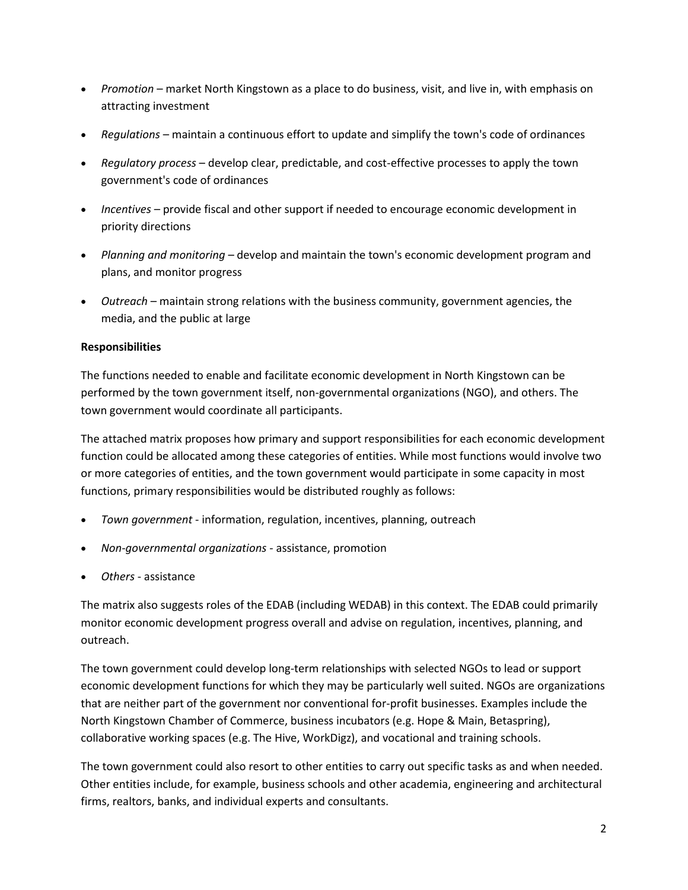- *Promotion* market North Kingstown as a place to do business, visit, and live in, with emphasis on attracting investment
- *Regulations* maintain a continuous effort to update and simplify the town's code of ordinances
- *Regulatory process* develop clear, predictable, and cost-effective processes to apply the town government's code of ordinances
- *Incentives* provide fiscal and other support if needed to encourage economic development in priority directions
- *Planning and monitoring* develop and maintain the town's economic development program and plans, and monitor progress
- *Outreach* maintain strong relations with the business community, government agencies, the media, and the public at large

## **Responsibilities**

The functions needed to enable and facilitate economic development in North Kingstown can be performed by the town government itself, non-governmental organizations (NGO), and others. The town government would coordinate all participants.

The attached matrix proposes how primary and support responsibilities for each economic development function could be allocated among these categories of entities. While most functions would involve two or more categories of entities, and the town government would participate in some capacity in most functions, primary responsibilities would be distributed roughly as follows:

- *Town government* information, regulation, incentives, planning, outreach
- *Non-governmental organizations* assistance, promotion
- *Others*  assistance

The matrix also suggests roles of the EDAB (including WEDAB) in this context. The EDAB could primarily monitor economic development progress overall and advise on regulation, incentives, planning, and outreach.

The town government could develop long-term relationships with selected NGOs to lead or support economic development functions for which they may be particularly well suited. NGOs are organizations that are neither part of the government nor conventional for-profit businesses. Examples include the North Kingstown Chamber of Commerce, business incubators (e.g. Hope & Main, Betaspring), collaborative working spaces (e.g. The Hive, WorkDigz), and vocational and training schools.

The town government could also resort to other entities to carry out specific tasks as and when needed. Other entities include, for example, business schools and other academia, engineering and architectural firms, realtors, banks, and individual experts and consultants.